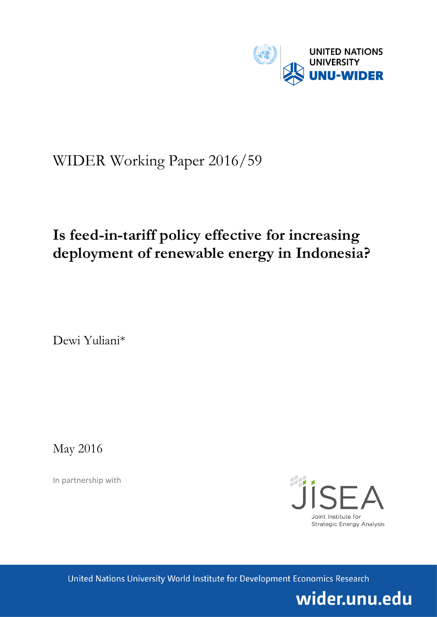

# WIDER Working Paper 2016/59

# **Is feed-in-tariff policy effective for increasing deployment of renewable energy in Indonesia?**

Dewi Yuliani\*

May 2016

In partnership with



United Nations University World Institute for Development Economics Research

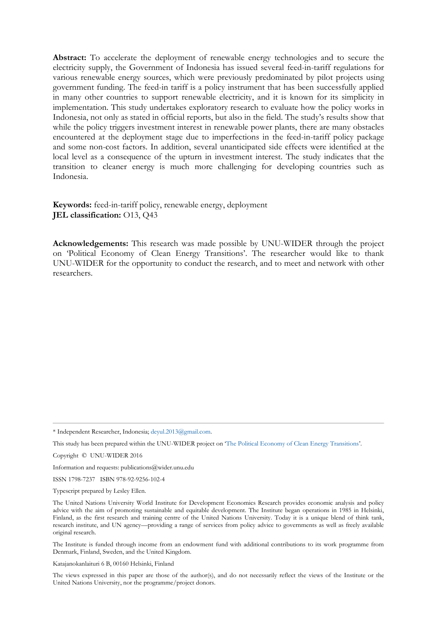**Abstract:** To accelerate the deployment of renewable energy technologies and to secure the electricity supply, the Government of Indonesia has issued several feed-in-tariff regulations for various renewable energy sources, which were previously predominated by pilot projects using government funding. The feed-in tariff is a policy instrument that has been successfully applied in many other countries to support renewable electricity, and it is known for its simplicity in implementation. This study undertakes exploratory research to evaluate how the policy works in Indonesia, not only as stated in official reports, but also in the field. The study's results show that while the policy triggers investment interest in renewable power plants, there are many obstacles encountered at the deployment stage due to imperfections in the feed-in-tariff policy package and some non-cost factors. In addition, several unanticipated side effects were identified at the local level as a consequence of the upturn in investment interest. The study indicates that the transition to cleaner energy is much more challenging for developing countries such as Indonesia.

**Keywords:** feed-in-tariff policy, renewable energy, deployment **JEL classification:** O13, Q43

**Acknowledgements:** This research was made possible by UNU-WIDER through the project on 'Political Economy of Clean Energy Transitions'. The researcher would like to thank UNU-WIDER for the opportunity to conduct the research, and to meet and network with other researchers.

Copyright © UNU-WIDER 2016

Information and requests: publications@wider.unu.edu

ISSN 1798-7237 ISBN 978-92-9256-102-4

Typescript prepared by Lesley Ellen.

The Institute is funded through income from an endowment fund with additional contributions to its work programme from Denmark, Finland, Sweden, and the United Kingdom.

Katajanokanlaituri 6 B, 00160 Helsinki, Finland

The views expressed in this paper are those of the author(s), and do not necessarily reflect the views of the Institute or the United Nations University, nor the programme/project donors.

<sup>\*</sup> Independent Researcher, Indonesia; [deyul.2013@gmail.com.](mailto:deyul.2013@gmail.com)

This study has been prepared within the UNU-WIDER project on '[The Political Economy of Clean Energy Transitions](https://www.wider.unu.edu/node/369)'.

The United Nations University World Institute for Development Economics Research provides economic analysis and policy advice with the aim of promoting sustainable and equitable development. The Institute began operations in 1985 in Helsinki, Finland, as the first research and training centre of the United Nations University. Today it is a unique blend of think tank, research institute, and UN agency—providing a range of services from policy advice to governments as well as freely available original research.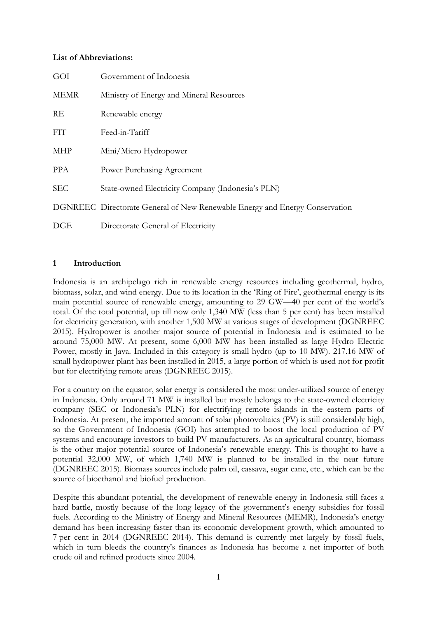#### **List of Abbreviations:**

| GOI         | Government of Indonesia                                                     |
|-------------|-----------------------------------------------------------------------------|
| <b>MEMR</b> | Ministry of Energy and Mineral Resources                                    |
| RE          | Renewable energy                                                            |
| <b>FIT</b>  | Feed-in-Tariff                                                              |
| <b>MHP</b>  | Mini/Micro Hydropower                                                       |
| <b>PPA</b>  | Power Purchasing Agreement                                                  |
| <b>SEC</b>  | State-owned Electricity Company (Indonesia's PLN)                           |
|             | DGNREEC Directorate General of New Renewable Energy and Energy Conservation |
| DGE         | Directorate General of Electricity                                          |

### **1 Introduction**

Indonesia is an archipelago rich in renewable energy resources including geothermal, hydro, biomass, solar, and wind energy. Due to its location in the 'Ring of Fire', geothermal energy is its main potential source of renewable energy, amounting to 29 GW—40 per cent of the world's total. Of the total potential, up till now only 1,340 MW (less than 5 per cent) has been installed for electricity generation, with another 1,500 MW at various stages of development (DGNREEC 2015). Hydropower is another major source of potential in Indonesia and is estimated to be around 75,000 MW. At present, some 6,000 MW has been installed as large Hydro Electric Power, mostly in Java. Included in this category is small hydro (up to 10 MW). 217.16 MW of small hydropower plant has been installed in 2015, a large portion of which is used not for profit but for electrifying remote areas (DGNREEC 2015).

For a country on the equator, solar energy is considered the most under-utilized source of energy in Indonesia. Only around 71 MW is installed but mostly belongs to the state-owned electricity company (SEC or Indonesia's PLN) for electrifying remote islands in the eastern parts of Indonesia. At present, the imported amount of solar photovoltaics (PV) is still considerably high, so the Government of Indonesia (GOI) has attempted to boost the local production of PV systems and encourage investors to build PV manufacturers. As an agricultural country, biomass is the other major potential source of Indonesia's renewable energy. This is thought to have a potential 32,000 MW, of which 1,740 MW is planned to be installed in the near future (DGNREEC 2015). Biomass sources include palm oil, cassava, sugar cane, etc., which can be the source of bioethanol and biofuel production.

Despite this abundant potential, the development of renewable energy in Indonesia still faces a hard battle, mostly because of the long legacy of the government's energy subsidies for fossil fuels. According to the Ministry of Energy and Mineral Resources (MEMR), Indonesia's energy demand has been increasing faster than its economic development growth, which amounted to 7 per cent in 2014 (DGNREEC 2014). This demand is currently met largely by fossil fuels, which in turn bleeds the country's finances as Indonesia has become a net importer of both crude oil and refined products since 2004.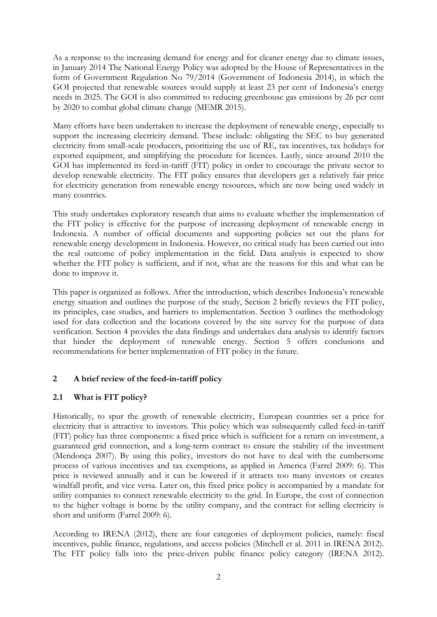As a response to the increasing demand for energy and for cleaner energy due to climate issues, in January 2014 The National Energy Policy was adopted by the House of Representatives in the form of Government Regulation No 79/2014 (Government of Indonesia 2014), in which the GOI projected that renewable sources would supply at least 23 per cent of Indonesia's energy needs in 2025. The GOI is also committed to reducing greenhouse gas emissions by 26 per cent by 2020 to combat global climate change (MEMR 2015).

Many efforts have been undertaken to increase the deployment of renewable energy, especially to support the increasing electricity demand. These include: obligating the SEC to buy generated electricity from small-scale producers, prioritizing the use of RE, tax incentives, tax holidays for exported equipment, and simplifying the procedure for licences. Lastly, since around 2010 the GOI has implemented its feed-in-tariff (FIT) policy in order to encourage the private sector to develop renewable electricity. The FIT policy ensures that developers get a relatively fair price for electricity generation from renewable energy resources, which are now being used widely in many countries.

This study undertakes exploratory research that aims to evaluate whether the implementation of the FIT policy is effective for the purpose of increasing deployment of renewable energy in Indonesia. A number of official documents and supporting policies set out the plans for renewable energy development in Indonesia. However, no critical study has been carried out into the real outcome of policy implementation in the field. Data analysis is expected to show whether the FIT policy is sufficient, and if not, what are the reasons for this and what can be done to improve it.

This paper is organized as follows. After the introduction, which describes Indonesia's renewable energy situation and outlines the purpose of the study, Section 2 briefly reviews the FIT policy, its principles, case studies, and barriers to implementation. Section 3 outlines the methodology used for data collection and the locations covered by the site survey for the purpose of data verification. Section 4 provides the data findings and undertakes data analysis to identify factors that hinder the deployment of renewable energy. Section 5 offers conclusions and recommendations for better implementation of FIT policy in the future.

# **2 A brief review of the feed-in-tariff policy**

## **2.1 What is FIT policy?**

Historically, to spur the growth of renewable electricity, European countries set a price for electricity that is attractive to investors. This policy which was subsequently called feed-in-tariff (FIT) policy has three components: a fixed price which is sufficient for a return on investment, a guaranteed grid connection, and a long-term contract to ensure the stability of the investment (Mendonça 2007). By using this policy, investors do not have to deal with the cumbersome process of various incentives and tax exemptions, as applied in America (Farrel 2009: 6). This price is reviewed annually and it can be lowered if it attracts too many investors or creates windfall profit, and vice versa. Later on, this fixed price policy is accompanied by a mandate for utility companies to connect renewable electricity to the grid. In Europe, the cost of connection to the higher voltage is borne by the utility company, and the contract for selling electricity is short and uniform (Farrel 2009: 6).

According to IRENA (2012), there are four categories of deployment policies, namely: fiscal incentives, public finance, regulations, and access policies (Mitchell et al. 2011 in IRENA 2012). The FIT policy falls into the price-driven public finance policy category (IRENA 2012).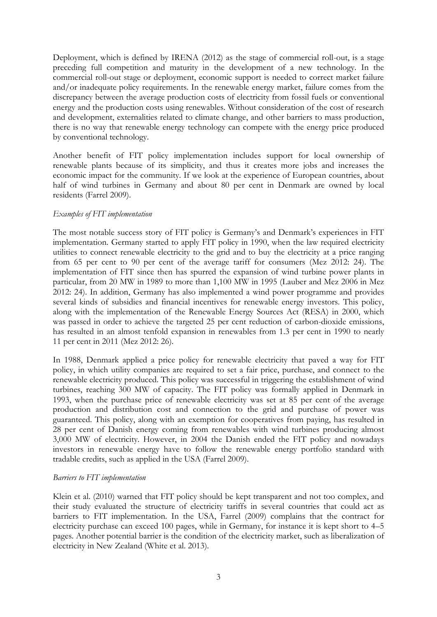Deployment, which is defined by IRENA (2012) as the stage of commercial roll-out, is a stage preceding full competition and maturity in the development of a new technology. In the commercial roll-out stage or deployment, economic support is needed to correct market failure and/or inadequate policy requirements. In the renewable energy market, failure comes from the discrepancy between the average production costs of electricity from fossil fuels or conventional energy and the production costs using renewables. Without consideration of the cost of research and development, externalities related to climate change, and other barriers to mass production, there is no way that renewable energy technology can compete with the energy price produced by conventional technology.

Another benefit of FIT policy implementation includes support for local ownership of renewable plants because of its simplicity, and thus it creates more jobs and increases the economic impact for the community. If we look at the experience of European countries, about half of wind turbines in Germany and about 80 per cent in Denmark are owned by local residents (Farrel 2009).

## *Examples of FIT implementation*

The most notable success story of FIT policy is Germany's and Denmark's experiences in FIT implementation. Germany started to apply FIT policy in 1990, when the law required electricity utilities to connect renewable electricity to the grid and to buy the electricity at a price ranging from 65 per cent to 90 per cent of the average tariff for consumers (Mez 2012: 24). The implementation of FIT since then has spurred the expansion of wind turbine power plants in particular, from 20 MW in 1989 to more than 1,100 MW in 1995 (Lauber and Mez 2006 in Mez 2012: 24). In addition, Germany has also implemented a wind power programme and provides several kinds of subsidies and financial incentives for renewable energy investors. This policy, along with the implementation of the Renewable Energy Sources Act (RESA) in 2000, which was passed in order to achieve the targeted 25 per cent reduction of carbon-dioxide emissions, has resulted in an almost tenfold expansion in renewables from 1.3 per cent in 1990 to nearly 11 per cent in 2011 (Mez 2012: 26).

In 1988, Denmark applied a price policy for renewable electricity that paved a way for FIT policy, in which utility companies are required to set a fair price, purchase, and connect to the renewable electricity produced. This policy was successful in triggering the establishment of wind turbines, reaching 300 MW of capacity. The FIT policy was formally applied in Denmark in 1993, when the purchase price of renewable electricity was set at 85 per cent of the average production and distribution cost and connection to the grid and purchase of power was guaranteed. This policy, along with an exemption for cooperatives from paying, has resulted in 28 per cent of Danish energy coming from renewables with wind turbines producing almost 3,000 MW of electricity. However, in 2004 the Danish ended the FIT policy and nowadays investors in renewable energy have to follow the renewable energy portfolio standard with tradable credits, such as applied in the USA (Farrel 2009).

#### *Barriers to FIT implementation*

Klein et al. (2010) warned that FIT policy should be kept transparent and not too complex, and their study evaluated the structure of electricity tariffs in several countries that could act as barriers to FIT implementation. In the USA, Farrel (2009) complains that the contract for electricity purchase can exceed 100 pages, while in Germany, for instance it is kept short to 4–5 pages. Another potential barrier is the condition of the electricity market, such as liberalization of electricity in New Zealand (White et al. 2013).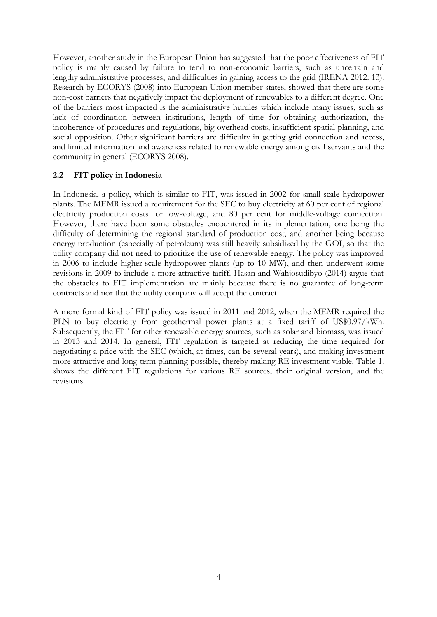However, another study in the European Union has suggested that the poor effectiveness of FIT policy is mainly caused by failure to tend to non-economic barriers, such as uncertain and lengthy administrative processes, and difficulties in gaining access to the grid (IRENA 2012: 13). Research by ECORYS (2008) into European Union member states, showed that there are some non-cost barriers that negatively impact the deployment of renewables to a different degree. One of the barriers most impacted is the administrative hurdles which include many issues, such as lack of coordination between institutions, length of time for obtaining authorization, the incoherence of procedures and regulations, big overhead costs, insufficient spatial planning, and social opposition. Other significant barriers are difficulty in getting grid connection and access, and limited information and awareness related to renewable energy among civil servants and the community in general (ECORYS 2008).

## **2.2 FIT policy in Indonesia**

In Indonesia, a policy, which is similar to FIT, was issued in 2002 for small-scale hydropower plants. The MEMR issued a requirement for the SEC to buy electricity at 60 per cent of regional electricity production costs for low-voltage, and 80 per cent for middle-voltage connection. However, there have been some obstacles encountered in its implementation, one being the difficulty of determining the regional standard of production cost, and another being because energy production (especially of petroleum) was still heavily subsidized by the GOI, so that the utility company did not need to prioritize the use of renewable energy. The policy was improved in 2006 to include higher-scale hydropower plants (up to 10 MW), and then underwent some revisions in 2009 to include a more attractive tariff. Hasan and Wahjosudibyo (2014) argue that the obstacles to FIT implementation are mainly because there is no guarantee of long-term contracts and nor that the utility company will accept the contract.

A more formal kind of FIT policy was issued in 2011 and 2012, when the MEMR required the PLN to buy electricity from geothermal power plants at a fixed tariff of US\$0.97/kWh. Subsequently, the FIT for other renewable energy sources, such as solar and biomass, was issued in 2013 and 2014. In general, FIT regulation is targeted at reducing the time required for negotiating a price with the SEC (which, at times, can be several years), and making investment more attractive and long-term planning possible, thereby making RE investment viable. Table 1. shows the different FIT regulations for various RE sources, their original version, and the revisions.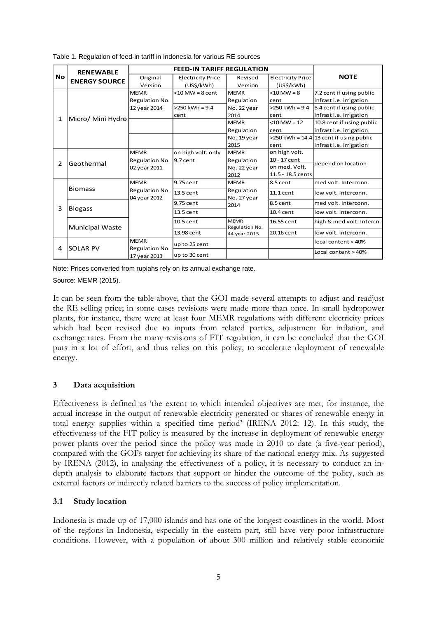|              | <b>RENEWABLE</b><br><b>ENERGY SOURCE</b> | <b>FEED-IN TARIFF REGULATION</b> |                          |                               |                          |                                           |
|--------------|------------------------------------------|----------------------------------|--------------------------|-------------------------------|--------------------------|-------------------------------------------|
| No           |                                          | Original                         | <b>Electricity Price</b> | Revised                       | <b>Electricity Price</b> | <b>NOTE</b>                               |
|              |                                          | Version                          | (US\$/kWh)               | Version                       | (US\$/kWh)               |                                           |
| $\mathbf{1}$ | Micro/ Mini Hydro                        | <b>MEMR</b>                      | $<$ 10 MW = 8 cent       | <b>MEMR</b>                   | $< 10$ MW = 8            | 7.2 cent if using public                  |
|              |                                          | Regulation No.                   |                          | Regulation                    | cent                     | infrast i.e. irrigation                   |
|              |                                          | 12 year 2014                     | $>250$ kWh = 9.4         | No. 22 year                   | $>250$ kWh = 9.4         | 8.4 cent if using public                  |
|              |                                          |                                  | cent                     | 2014                          | cent                     | infrast i.e. irrigation                   |
|              |                                          |                                  |                          | <b>MEMR</b>                   | $< 10$ MW = 12           | 10.8 cent if using public                 |
|              |                                          |                                  |                          | Regulation                    | cent                     | infrast i.e. irrigation                   |
|              |                                          |                                  |                          | No. 19 year                   |                          | >250 kWh = $14.4$ 13 cent if using public |
|              |                                          |                                  |                          | 2015                          | cent                     | infrast i.e. irrigation                   |
| 2            | Geothermal                               | <b>MEMR</b>                      | on high volt. only       | <b>MEMR</b>                   | on high volt.            | depend on location                        |
|              |                                          | Regulation No.                   | $9.7$ cent               | Regulation                    | 10 - 17 cent             |                                           |
|              |                                          | 02 year 2011                     |                          | No. 22 year                   | on med. Volt.            |                                           |
|              |                                          |                                  |                          | 2012                          | 11.5 - 18.5 cents        |                                           |
| 3            | <b>Biomass</b>                           | <b>MEMR</b>                      | 9.75 cent                | <b>MEMR</b>                   | 8.5 cent                 | med volt. Interconn.                      |
|              |                                          | Regulation No.<br>04 year 2012   | 13.5 cent                | Regulation<br>No. 27 year     | 11.1 cent                | low volt. Interconn.                      |
|              | <b>Biogass</b>                           |                                  | 9.75 cent                | 2014                          | 8.5 cent                 | med volt. Interconn.                      |
|              |                                          |                                  | 13.5 cent                |                               | 10.4 cent                | low volt. Interconn.                      |
|              | <b>Municipal Waste</b>                   |                                  | 10.5 cent                | <b>MEMR</b><br>Regulation No. | 16.55 cent               | high & med volt. Intercn.                 |
|              |                                          |                                  | 13.98 cent               | 44 year 2015                  | 20.16 cent               | low volt. Interconn.                      |
| 4            | <b>SOLAR PV</b>                          | <b>MEMR</b>                      | up to 25 cent            |                               |                          | local content < 40%                       |
|              |                                          | Regulation No.<br>17 year 2013   | up to 30 cent            |                               |                          | Local content > 40%                       |

Table 1. Regulation of feed-in tariff in Indonesia for various RE sources

Note: Prices converted from rupiahs rely on its annual exchange rate. *Note: prices converted from rupiahs rely on its year exchange rate*

Source: MEMR (2015).

It can be seen from the table above, that the GOI made several attempts to adjust and readjust the RE selling price; in some cases revisions were made more than once. In small hydropower plants, for instance, there were at least four MEMR regulations with different electricity prices which had been revised due to inputs from related parties, adjustment for inflation, and exchange rates. From the many revisions of FIT regulation, it can be concluded that the GOI puts in a lot of effort, and thus relies on this policy, to accelerate deployment of renewable energy.

## **3 Data acquisition**

Effectiveness is defined as 'the extent to which intended objectives are met, for instance, the actual increase in the output of renewable electricity generated or shares of renewable energy in total energy supplies within a specified time period' (IRENA 2012: 12). In this study, the effectiveness of the FIT policy is measured by the increase in deployment of renewable energy power plants over the period since the policy was made in 2010 to date (a five-year period), compared with the GOI's target for achieving its share of the national energy mix. As suggested by IRENA (2012), in analysing the effectiveness of a policy, it is necessary to conduct an indepth analysis to elaborate factors that support or hinder the outcome of the policy, such as external factors or indirectly related barriers to the success of policy implementation.

## **3.1 Study location**

Indonesia is made up of 17,000 islands and has one of the longest coastlines in the world. Most of the regions in Indonesia, especially in the eastern part, still have very poor infrastructure conditions. However, with a population of about 300 million and relatively stable economic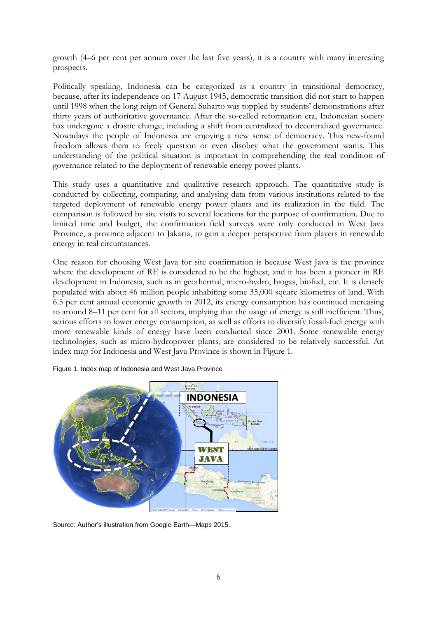growth (4–6 per cent per annum over the last five years), it is a country with many interesting prospects.

Politically speaking, Indonesia can be categorized as a country in transitional democracy, because, after its independence on 17 August 1945, democratic transition did not start to happen until 1998 when the long reign of General Suharto was toppled by students' demonstrations after thirty years of authoritative governance. After the so-called reformation era, Indonesian society has undergone a drastic change, including a shift from centralized to decentralized governance. Nowadays the people of Indonesia are enjoying a new sense of democracy. This new-found freedom allows them to freely question or even disobey what the government wants. This understanding of the political situation is important in comprehending the real condition of governance related to the deployment of renewable energy power plants.

This study uses a quantitative and qualitative research approach. The quantitative study is conducted by collecting, comparing, and analysing data from various institutions related to the targeted deployment of renewable energy power plants and its realization in the field. The comparison is followed by site visits to several locations for the purpose of confirmation. Due to limited time and budget, the confirmation field surveys were only conducted in West Java Province, a province adjacent to Jakarta, to gain a deeper perspective from players in renewable energy in real circumstances.

One reason for choosing West Java for site confirmation is because West Java is the province where the development of RE is considered to be the highest, and it has been a pioneer in RE development in Indonesia, such as in geothermal, micro-hydro, biogas, biofuel, etc. It is densely populated with about 46 million people inhabiting some 35,000 square kilometres of land. With 6.5 per cent annual economic growth in 2012, its energy consumption has continued increasing to around 8–11 per cent for all sectors, implying that the usage of energy is still inefficient. Thus, serious efforts to lower energy consumption, as well as efforts to diversify fossil-fuel energy with more renewable kinds of energy have been conducted since 2001. Some renewable energy technologies, such as micro-hydropower plants, are considered to be relatively successful. An index map for Indonesia and West Java Province is shown in Figure 1.



Figure 1. Index map of Indonesia and West Java Province

Source: Author's illustration from Google Earth—Maps 2015.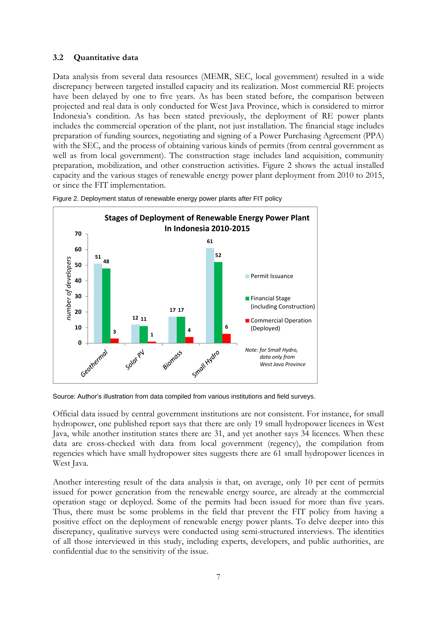## **3.2 Quantitative data**

Data analysis from several data resources (MEMR, SEC, local government) resulted in a wide discrepancy between targeted installed capacity and its realization. Most commercial RE projects have been delayed by one to five years. As has been stated before, the comparison between projected and real data is only conducted for West Java Province, which is considered to mirror Indonesia's condition. As has been stated previously, the deployment of RE power plants includes the commercial operation of the plant, not just installation. The financial stage includes preparation of funding sources, negotiating and signing of a Power Purchasing Agreement (PPA) with the SEC, and the process of obtaining various kinds of permits (from central government as well as from local government). The construction stage includes land acquisition, community preparation, mobilization, and other construction activities. Figure 2 shows the actual installed capacity and the various stages of renewable energy power plant deployment from 2010 to 2015, or since the FIT implementation.



Figure 2. Deployment status of renewable energy power plants after FIT policy

Source: Author's illustration from data compiled from various institutions and field surveys.

Official data issued by central government institutions are not consistent. For instance, for small hydropower, one published report says that there are only 19 small hydropower licences in West Java, while another institution states there are 31, and yet another says 34 licences. When these data are cross-checked with data from local government (regency), the compilation from regencies which have small hydropower sites suggests there are 61 small hydropower licences in West Java.

Another interesting result of the data analysis is that, on average, only 10 per cent of permits issued for power generation from the renewable energy source, are already at the commercial operation stage or deployed. Some of the permits had been issued for more than five years. Thus, there must be some problems in the field that prevent the FIT policy from having a positive effect on the deployment of renewable energy power plants. To delve deeper into this discrepancy, qualitative surveys were conducted using semi-structured interviews. The identities of all those interviewed in this study, including experts, developers, and public authorities, are confidential due to the sensitivity of the issue.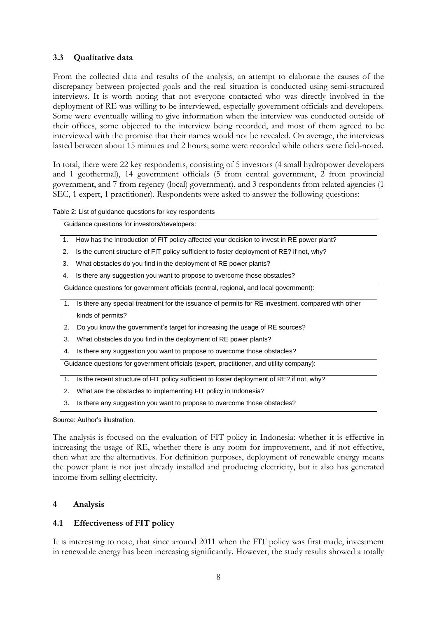## **3.3 Qualitative data**

From the collected data and results of the analysis, an attempt to elaborate the causes of the discrepancy between projected goals and the real situation is conducted using semi-structured interviews. It is worth noting that not everyone contacted who was directly involved in the deployment of RE was willing to be interviewed, especially government officials and developers. Some were eventually willing to give information when the interview was conducted outside of their offices, some objected to the interview being recorded, and most of them agreed to be interviewed with the promise that their names would not be revealed. On average, the interviews lasted between about 15 minutes and 2 hours; some were recorded while others were field-noted.

In total, there were 22 key respondents, consisting of 5 investors (4 small hydropower developers and 1 geothermal), 14 government officials (5 from central government, 2 from provincial government, and 7 from regency (local) government), and 3 respondents from related agencies (1 SEC, 1 expert, 1 practitioner). Respondents were asked to answer the following questions:

Table 2: List of guidance questions for key respondents

| Guidance questions for investors/developers:                                             |                                                                                                   |  |  |  |
|------------------------------------------------------------------------------------------|---------------------------------------------------------------------------------------------------|--|--|--|
| 1.                                                                                       | How has the introduction of FIT policy affected your decision to invest in RE power plant?        |  |  |  |
| 2.                                                                                       | Is the current structure of FIT policy sufficient to foster deployment of RE? if not, why?        |  |  |  |
| 3.                                                                                       | What obstacles do you find in the deployment of RE power plants?                                  |  |  |  |
| 4.                                                                                       | Is there any suggestion you want to propose to overcome those obstacles?                          |  |  |  |
| Guidance questions for government officials (central, regional, and local government):   |                                                                                                   |  |  |  |
| 1.                                                                                       | Is there any special treatment for the issuance of permits for RE investment, compared with other |  |  |  |
|                                                                                          | kinds of permits?                                                                                 |  |  |  |
| 2.                                                                                       | Do you know the government's target for increasing the usage of RE sources?                       |  |  |  |
| 3.                                                                                       | What obstacles do you find in the deployment of RE power plants?                                  |  |  |  |
| 4.                                                                                       | Is there any suggestion you want to propose to overcome those obstacles?                          |  |  |  |
| Guidance questions for government officials (expert, practitioner, and utility company): |                                                                                                   |  |  |  |
| 1.                                                                                       | Is the recent structure of FIT policy sufficient to foster deployment of RE? if not, why?         |  |  |  |
| 2.                                                                                       | What are the obstacles to implementing FIT policy in Indonesia?                                   |  |  |  |
| 3.                                                                                       | Is there any suggestion you want to propose to overcome those obstacles?                          |  |  |  |

Source: Author's illustration.

The analysis is focused on the evaluation of FIT policy in Indonesia: whether it is effective in increasing the usage of RE, whether there is any room for improvement, and if not effective, then what are the alternatives. For definition purposes, deployment of renewable energy means the power plant is not just already installed and producing electricity, but it also has generated income from selling electricity.

## **4 Analysis**

# **4.1 Effectiveness of FIT policy**

It is interesting to note, that since around 2011 when the FIT policy was first made, investment in renewable energy has been increasing significantly. However, the study results showed a totally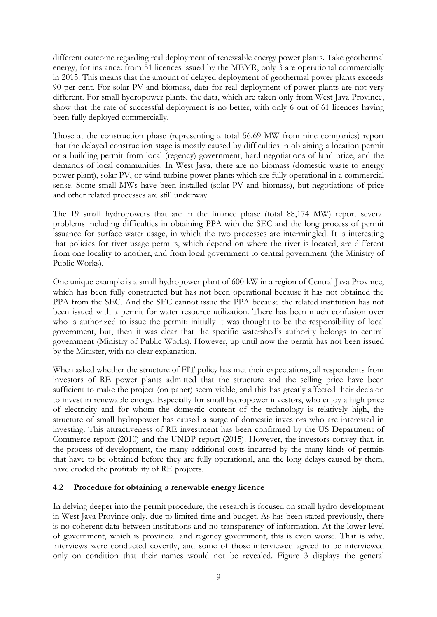different outcome regarding real deployment of renewable energy power plants. Take geothermal energy, for instance: from 51 licences issued by the MEMR, only 3 are operational commercially in 2015. This means that the amount of delayed deployment of geothermal power plants exceeds 90 per cent. For solar PV and biomass, data for real deployment of power plants are not very different. For small hydropower plants, the data, which are taken only from West Java Province, show that the rate of successful deployment is no better, with only 6 out of 61 licences having been fully deployed commercially.

Those at the construction phase (representing a total 56.69 MW from nine companies) report that the delayed construction stage is mostly caused by difficulties in obtaining a location permit or a building permit from local (regency) government, hard negotiations of land price, and the demands of local communities. In West Java, there are no biomass (domestic waste to energy power plant), solar PV, or wind turbine power plants which are fully operational in a commercial sense. Some small MWs have been installed (solar PV and biomass), but negotiations of price and other related processes are still underway.

The 19 small hydropowers that are in the finance phase (total 88,174 MW) report several problems including difficulties in obtaining PPA with the SEC and the long process of permit issuance for surface water usage, in which the two processes are intermingled. It is interesting that policies for river usage permits, which depend on where the river is located, are different from one locality to another, and from local government to central government (the Ministry of Public Works).

One unique example is a small hydropower plant of 600 kW in a region of Central Java Province, which has been fully constructed but has not been operational because it has not obtained the PPA from the SEC. And the SEC cannot issue the PPA because the related institution has not been issued with a permit for water resource utilization. There has been much confusion over who is authorized to issue the permit: initially it was thought to be the responsibility of local government, but, then it was clear that the specific watershed's authority belongs to central government (Ministry of Public Works). However, up until now the permit has not been issued by the Minister, with no clear explanation.

When asked whether the structure of FIT policy has met their expectations, all respondents from investors of RE power plants admitted that the structure and the selling price have been sufficient to make the project (on paper) seem viable, and this has greatly affected their decision to invest in renewable energy. Especially for small hydropower investors, who enjoy a high price of electricity and for whom the domestic content of the technology is relatively high, the structure of small hydropower has caused a surge of domestic investors who are interested in investing. This attractiveness of RE investment has been confirmed by the US Department of Commerce report (2010) and the UNDP report (2015). However, the investors convey that, in the process of development, the many additional costs incurred by the many kinds of permits that have to be obtained before they are fully operational, and the long delays caused by them, have eroded the profitability of RE projects.

## **4.2 Procedure for obtaining a renewable energy licence**

In delving deeper into the permit procedure, the research is focused on small hydro development in West Java Province only, due to limited time and budget. As has been stated previously, there is no coherent data between institutions and no transparency of information. At the lower level of government, which is provincial and regency government, this is even worse. That is why, interviews were conducted covertly, and some of those interviewed agreed to be interviewed only on condition that their names would not be revealed. Figure 3 displays the general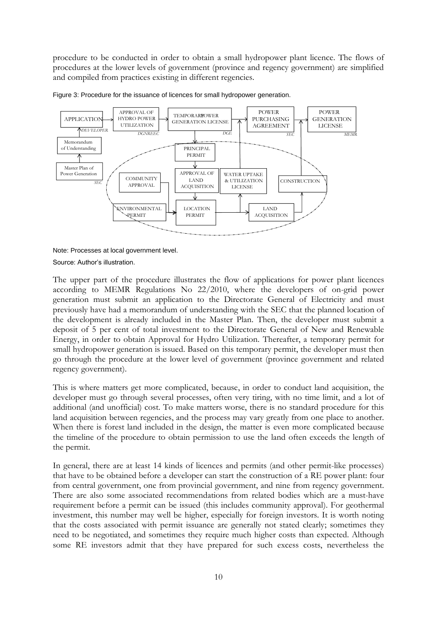procedure to be conducted in order to obtain a small hydropower plant licence. The flows of procedures at the lower levels of government (province and regency government) are simplified and compiled from practices existing in different regencies.



Figure 3: Procedure for the issuance of licences for small hydropower generation.

Note: Processes at local government level.

Source: Author's illustration.

The upper part of the procedure illustrates the flow of applications for power plant licences according to MEMR Regulations No 22/2010, where the developers of on-grid power generation must submit an application to the Directorate General of Electricity and must previously have had a memorandum of understanding with the SEC that the planned location of the development is already included in the Master Plan. Then, the developer must submit a deposit of 5 per cent of total investment to the Directorate General of New and Renewable Energy, in order to obtain Approval for Hydro Utilization. Thereafter, a temporary permit for small hydropower generation is issued. Based on this temporary permit, the developer must then go through the procedure at the lower level of government (province government and related regency government).

This is where matters get more complicated, because, in order to conduct land acquisition, the developer must go through several processes, often very tiring, with no time limit, and a lot of additional (and unofficial) cost. To make matters worse, there is no standard procedure for this land acquisition between regencies, and the process may vary greatly from one place to another. When there is forest land included in the design, the matter is even more complicated because the timeline of the procedure to obtain permission to use the land often exceeds the length of the permit.

In general, there are at least 14 kinds of licences and permits (and other permit-like processes) that have to be obtained before a developer can start the construction of a RE power plant: four from central government, one from provincial government, and nine from regency government. There are also some associated recommendations from related bodies which are a must-have requirement before a permit can be issued (this includes community approval). For geothermal investment, this number may well be higher, especially for foreign investors. It is worth noting that the costs associated with permit issuance are generally not stated clearly; sometimes they need to be negotiated, and sometimes they require much higher costs than expected. Although some RE investors admit that they have prepared for such excess costs, nevertheless the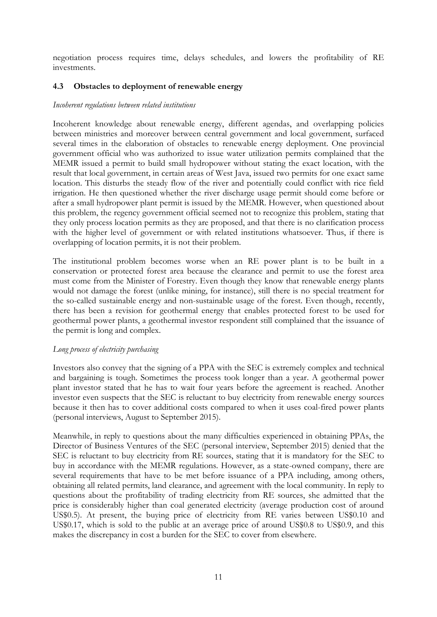negotiation process requires time, delays schedules, and lowers the profitability of RE investments.

## **4.3 Obstacles to deployment of renewable energy**

### *Incoherent regulations between related institutions*

Incoherent knowledge about renewable energy, different agendas, and overlapping policies between ministries and moreover between central government and local government, surfaced several times in the elaboration of obstacles to renewable energy deployment. One provincial government official who was authorized to issue water utilization permits complained that the MEMR issued a permit to build small hydropower without stating the exact location, with the result that local government, in certain areas of West Java, issued two permits for one exact same location. This disturbs the steady flow of the river and potentially could conflict with rice field irrigation. He then questioned whether the river discharge usage permit should come before or after a small hydropower plant permit is issued by the MEMR. However, when questioned about this problem, the regency government official seemed not to recognize this problem, stating that they only process location permits as they are proposed, and that there is no clarification process with the higher level of government or with related institutions whatsoever. Thus, if there is overlapping of location permits, it is not their problem.

The institutional problem becomes worse when an RE power plant is to be built in a conservation or protected forest area because the clearance and permit to use the forest area must come from the Minister of Forestry. Even though they know that renewable energy plants would not damage the forest (unlike mining, for instance), still there is no special treatment for the so-called sustainable energy and non-sustainable usage of the forest. Even though, recently, there has been a revision for geothermal energy that enables protected forest to be used for geothermal power plants, a geothermal investor respondent still complained that the issuance of the permit is long and complex.

## *Long process of electricity purchasing*

Investors also convey that the signing of a PPA with the SEC is extremely complex and technical and bargaining is tough. Sometimes the process took longer than a year. A geothermal power plant investor stated that he has to wait four years before the agreement is reached. Another investor even suspects that the SEC is reluctant to buy electricity from renewable energy sources because it then has to cover additional costs compared to when it uses coal-fired power plants (personal interviews, August to September 2015).

Meanwhile, in reply to questions about the many difficulties experienced in obtaining PPAs, the Director of Business Ventures of the SEC (personal interview, September 2015) denied that the SEC is reluctant to buy electricity from RE sources, stating that it is mandatory for the SEC to buy in accordance with the MEMR regulations. However, as a state-owned company, there are several requirements that have to be met before issuance of a PPA including, among others, obtaining all related permits, land clearance, and agreement with the local community. In reply to questions about the profitability of trading electricity from RE sources, she admitted that the price is considerably higher than coal generated electricity (average production cost of around US\$0.5). At present, the buying price of electricity from RE varies between US\$0.10 and US\$0.17, which is sold to the public at an average price of around US\$0.8 to US\$0.9, and this makes the discrepancy in cost a burden for the SEC to cover from elsewhere.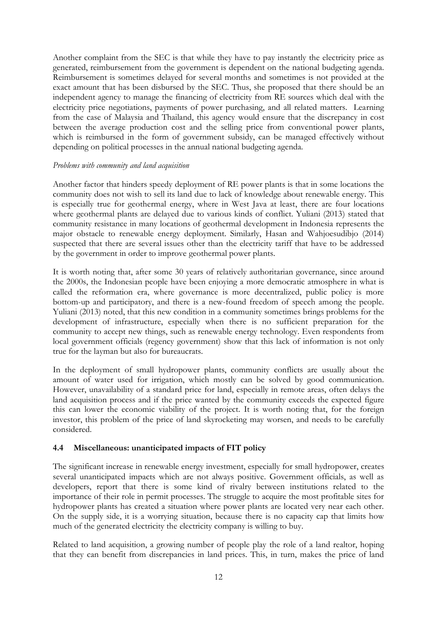Another complaint from the SEC is that while they have to pay instantly the electricity price as generated, reimbursement from the government is dependent on the national budgeting agenda. Reimbursement is sometimes delayed for several months and sometimes is not provided at the exact amount that has been disbursed by the SEC. Thus, she proposed that there should be an independent agency to manage the financing of electricity from RE sources which deal with the electricity price negotiations, payments of power purchasing, and all related matters. Learning from the case of Malaysia and Thailand, this agency would ensure that the discrepancy in cost between the average production cost and the selling price from conventional power plants, which is reimbursed in the form of government subsidy, can be managed effectively without depending on political processes in the annual national budgeting agenda.

### *Problems with community and land acquisition*

Another factor that hinders speedy deployment of RE power plants is that in some locations the community does not wish to sell its land due to lack of knowledge about renewable energy. This is especially true for geothermal energy, where in West Java at least, there are four locations where geothermal plants are delayed due to various kinds of conflict. Yuliani (2013) stated that community resistance in many locations of geothermal development in Indonesia represents the major obstacle to renewable energy deployment. Similarly, Hasan and Wahjoesudibjo (2014) suspected that there are several issues other than the electricity tariff that have to be addressed by the government in order to improve geothermal power plants.

It is worth noting that, after some 30 years of relatively authoritarian governance, since around the 2000s, the Indonesian people have been enjoying a more democratic atmosphere in what is called the reformation era, where governance is more decentralized, public policy is more bottom-up and participatory, and there is a new-found freedom of speech among the people. Yuliani (2013) noted, that this new condition in a community sometimes brings problems for the development of infrastructure, especially when there is no sufficient preparation for the community to accept new things, such as renewable energy technology. Even respondents from local government officials (regency government) show that this lack of information is not only true for the layman but also for bureaucrats.

In the deployment of small hydropower plants, community conflicts are usually about the amount of water used for irrigation, which mostly can be solved by good communication. However, unavailability of a standard price for land, especially in remote areas, often delays the land acquisition process and if the price wanted by the community exceeds the expected figure this can lower the economic viability of the project. It is worth noting that, for the foreign investor, this problem of the price of land skyrocketing may worsen, and needs to be carefully considered.

## **4.4 Miscellaneous: unanticipated impacts of FIT policy**

The significant increase in renewable energy investment, especially for small hydropower, creates several unanticipated impacts which are not always positive. Government officials, as well as developers, report that there is some kind of rivalry between institutions related to the importance of their role in permit processes. The struggle to acquire the most profitable sites for hydropower plants has created a situation where power plants are located very near each other. On the supply side, it is a worrying situation, because there is no capacity cap that limits how much of the generated electricity the electricity company is willing to buy.

Related to land acquisition, a growing number of people play the role of a land realtor, hoping that they can benefit from discrepancies in land prices. This, in turn, makes the price of land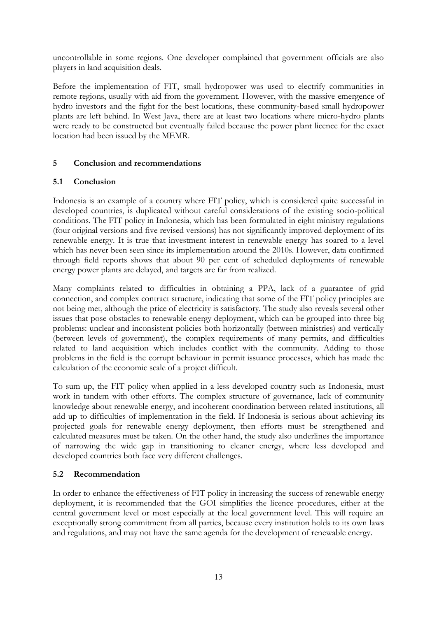uncontrollable in some regions. One developer complained that government officials are also players in land acquisition deals.

Before the implementation of FIT, small hydropower was used to electrify communities in remote regions, usually with aid from the government. However, with the massive emergence of hydro investors and the fight for the best locations, these community-based small hydropower plants are left behind. In West Java, there are at least two locations where micro-hydro plants were ready to be constructed but eventually failed because the power plant licence for the exact location had been issued by the MEMR.

## **5 Conclusion and recommendations**

## **5.1 Conclusion**

Indonesia is an example of a country where FIT policy, which is considered quite successful in developed countries, is duplicated without careful considerations of the existing socio-political conditions. The FIT policy in Indonesia, which has been formulated in eight ministry regulations (four original versions and five revised versions) has not significantly improved deployment of its renewable energy. It is true that investment interest in renewable energy has soared to a level which has never been seen since its implementation around the 2010s. However, data confirmed through field reports shows that about 90 per cent of scheduled deployments of renewable energy power plants are delayed, and targets are far from realized.

Many complaints related to difficulties in obtaining a PPA, lack of a guarantee of grid connection, and complex contract structure, indicating that some of the FIT policy principles are not being met, although the price of electricity is satisfactory. The study also reveals several other issues that pose obstacles to renewable energy deployment, which can be grouped into three big problems: unclear and inconsistent policies both horizontally (between ministries) and vertically (between levels of government), the complex requirements of many permits, and difficulties related to land acquisition which includes conflict with the community. Adding to those problems in the field is the corrupt behaviour in permit issuance processes, which has made the calculation of the economic scale of a project difficult.

To sum up, the FIT policy when applied in a less developed country such as Indonesia, must work in tandem with other efforts. The complex structure of governance, lack of community knowledge about renewable energy, and incoherent coordination between related institutions, all add up to difficulties of implementation in the field. If Indonesia is serious about achieving its projected goals for renewable energy deployment, then efforts must be strengthened and calculated measures must be taken. On the other hand, the study also underlines the importance of narrowing the wide gap in transitioning to cleaner energy, where less developed and developed countries both face very different challenges.

# **5.2 Recommendation**

In order to enhance the effectiveness of FIT policy in increasing the success of renewable energy deployment, it is recommended that the GOI simplifies the licence procedures, either at the central government level or most especially at the local government level. This will require an exceptionally strong commitment from all parties, because every institution holds to its own laws and regulations, and may not have the same agenda for the development of renewable energy.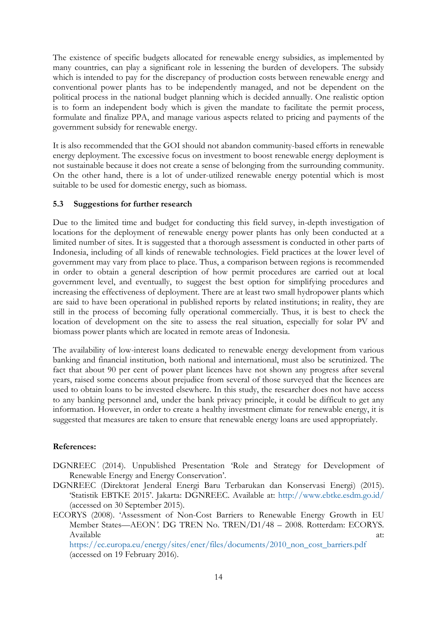The existence of specific budgets allocated for renewable energy subsidies, as implemented by many countries, can play a significant role in lessening the burden of developers. The subsidy which is intended to pay for the discrepancy of production costs between renewable energy and conventional power plants has to be independently managed, and not be dependent on the political process in the national budget planning which is decided annually. One realistic option is to form an independent body which is given the mandate to facilitate the permit process, formulate and finalize PPA, and manage various aspects related to pricing and payments of the government subsidy for renewable energy.

It is also recommended that the GOI should not abandon community-based efforts in renewable energy deployment. The excessive focus on investment to boost renewable energy deployment is not sustainable because it does not create a sense of belonging from the surrounding community. On the other hand, there is a lot of under-utilized renewable energy potential which is most suitable to be used for domestic energy, such as biomass.

## **5.3 Suggestions for further research**

Due to the limited time and budget for conducting this field survey, in-depth investigation of locations for the deployment of renewable energy power plants has only been conducted at a limited number of sites. It is suggested that a thorough assessment is conducted in other parts of Indonesia, including of all kinds of renewable technologies. Field practices at the lower level of government may vary from place to place. Thus, a comparison between regions is recommended in order to obtain a general description of how permit procedures are carried out at local government level, and eventually, to suggest the best option for simplifying procedures and increasing the effectiveness of deployment. There are at least two small hydropower plants which are said to have been operational in published reports by related institutions; in reality, they are still in the process of becoming fully operational commercially. Thus, it is best to check the location of development on the site to assess the real situation, especially for solar PV and biomass power plants which are located in remote areas of Indonesia.

The availability of low-interest loans dedicated to renewable energy development from various banking and financial institution, both national and international, must also be scrutinized. The fact that about 90 per cent of power plant licences have not shown any progress after several years, raised some concerns about prejudice from several of those surveyed that the licences are used to obtain loans to be invested elsewhere. In this study, the researcher does not have access to any banking personnel and, under the bank privacy principle, it could be difficult to get any information. However, in order to create a healthy investment climate for renewable energy, it is suggested that measures are taken to ensure that renewable energy loans are used appropriately.

## **References:**

- DGNREEC (2014). Unpublished Presentation 'Role and Strategy for Development of Renewable Energy and Energy Conservation'.
- DGNREEC (Direktorat Jenderal Energi Baru Terbarukan dan Konservasi Energi) (2015). 'Statistik EBTKE 2015'. Jakarta: DGNREEC. Available at:<http://www.ebtke.esdm.go.id/> (accessed on 30 September 2015).
- ECORYS (2008). 'Assessment of Non-Cost Barriers to Renewable Energy Growth in EU Member States—AEON*'*. DG TREN No. TREN/D1/48 – 2008. Rotterdam: ECORYS. Available at:  $\alpha$

[https://ec.europa.eu/energy/sites/ener/files/documents/2010\\_non\\_cost\\_barriers.pdf](https://ec.europa.eu/energy/sites/ener/files/documents/2010_non_cost_barriers.pdf)  (accessed on 19 February 2016).